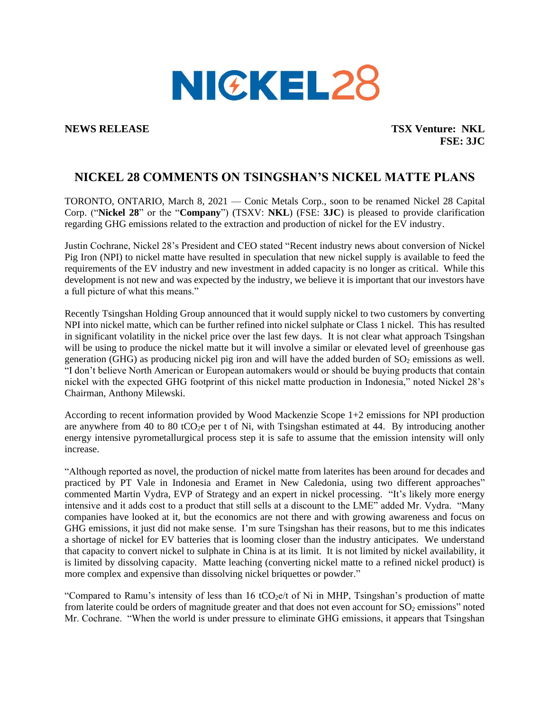

**NEWS RELEASE TSX Venture: NKL FSE: 3JC**

## **NICKEL 28 COMMENTS ON TSINGSHAN'S NICKEL MATTE PLANS**

TORONTO, ONTARIO, March 8, 2021 — Conic Metals Corp., soon to be renamed Nickel 28 Capital Corp. ("**Nickel 28**" or the "**Company**") (TSXV: **NKL**) (FSE: **3JC**) is pleased to provide clarification regarding GHG emissions related to the extraction and production of nickel for the EV industry.

Justin Cochrane, Nickel 28's President and CEO stated "Recent industry news about conversion of Nickel Pig Iron (NPI) to nickel matte have resulted in speculation that new nickel supply is available to feed the requirements of the EV industry and new investment in added capacity is no longer as critical. While this development is not new and was expected by the industry, we believe it is important that our investors have a full picture of what this means."

Recently Tsingshan Holding Group announced that it would supply nickel to two customers by converting NPI into nickel matte, which can be further refined into nickel sulphate or Class 1 nickel. This has resulted in significant volatility in the nickel price over the last few days. It is not clear what approach Tsingshan will be using to produce the nickel matte but it will involve a similar or elevated level of greenhouse gas generation (GHG) as producing nickel pig iron and will have the added burden of  $SO<sub>2</sub>$  emissions as well. "I don't believe North American or European automakers would or should be buying products that contain nickel with the expected GHG footprint of this nickel matte production in Indonesia," noted Nickel 28's Chairman, Anthony Milewski.

According to recent information provided by Wood Mackenzie Scope 1+2 emissions for NPI production are anywhere from 40 to 80 tCO<sub>2</sub>e per t of Ni, with Tsingshan estimated at 44. By introducing another energy intensive pyrometallurgical process step it is safe to assume that the emission intensity will only increase.

"Although reported as novel, the production of nickel matte from laterites has been around for decades and practiced by PT Vale in Indonesia and Eramet in New Caledonia, using two different approaches" commented Martin Vydra, EVP of Strategy and an expert in nickel processing. "It's likely more energy intensive and it adds cost to a product that still sells at a discount to the LME" added Mr. Vydra. "Many companies have looked at it, but the economics are not there and with growing awareness and focus on GHG emissions, it just did not make sense. I'm sure Tsingshan has their reasons, but to me this indicates a shortage of nickel for EV batteries that is looming closer than the industry anticipates. We understand that capacity to convert nickel to sulphate in China is at its limit. It is not limited by nickel availability, it is limited by dissolving capacity. Matte leaching (converting nickel matte to a refined nickel product) is more complex and expensive than dissolving nickel briquettes or powder."

"Compared to Ramu's intensity of less than 16 tCO<sub>2</sub>e/t of Ni in MHP, Tsingshan's production of matte from laterite could be orders of magnitude greater and that does not even account for  $SO_2$  emissions" noted Mr. Cochrane. "When the world is under pressure to eliminate GHG emissions, it appears that Tsingshan